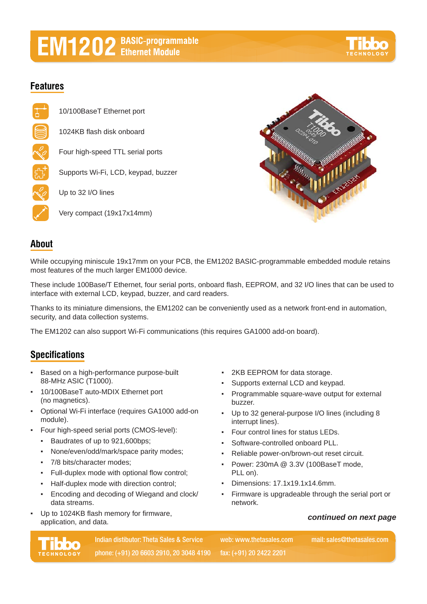# **EM1202** BASIC-programmable

## **Features**

10/100BaseT Ethernet port 1024KB flash disk onboard Four high-speed TTL serial ports Supports Wi-Fi, LCD, keypad, buzzer Up to 32 I/O lines Very compact (19x17x14mm)



### **About**

While occupying miniscule 19x17mm on your PCB, the EM1202 BASIC-programmable embedded module retains most features of the much larger EM1000 device.

These include 100Base/T Ethernet, four serial ports, onboard flash, EEPROM, and 32 I/O lines that can be used to interface with external LCD, keypad, buzzer, and card readers.

Thanks to its miniature dimensions, the EM1202 can be conveniently used as a network front-end in automation, security, and data collection systems.

The EM1202 can also support Wi-Fi communications (this requires GA1000 add-on board).

## **Specifications**

- Based on a high-performance purpose-built 88-MHz ASIC (T1000).
- 10/100BaseT auto-MDIX Ethernet port (no magnetics).
- Optional Wi-Fi interface (requires GA1000 add-on module).
- Four high-speed serial ports (CMOS-level):
	- Baudrates of up to 921,600bps;
	- None/even/odd/mark/space parity modes;
	- 7/8 bits/character modes;
	- Full-duplex mode with optional flow control;
	- Half-duplex mode with direction control;
	- Encoding and decoding of Wiegand and clock/ data streams.
- Up to 1024KB flash memory for firmware, application, and data.
- 2KB EEPROM for data storage.
- Supports external LCD and keypad.
- Programmable square-wave output for external buzzer.
- Up to 32 general-purpose I/O lines (including 8 interrupt lines).
- Four control lines for status LEDs.
- Software-controlled onboard PLL.
- Reliable power-on/brown-out reset circuit.
- Power: 230mA @ 3.3V (100BaseT mode, PLL on).
- Dimensions: 17.1x19.1x14.6mm.
- Firmware is upgradeable through the serial port or network.

#### *continued on next page*



**Indian distibutor: Theta Sales & Service mail: sales@thetasales.com phone: (+91) 20 6603 2910, 20 3048 4190 fax: (+91) 20 2422 2201**

**web: www.thetasales.com**